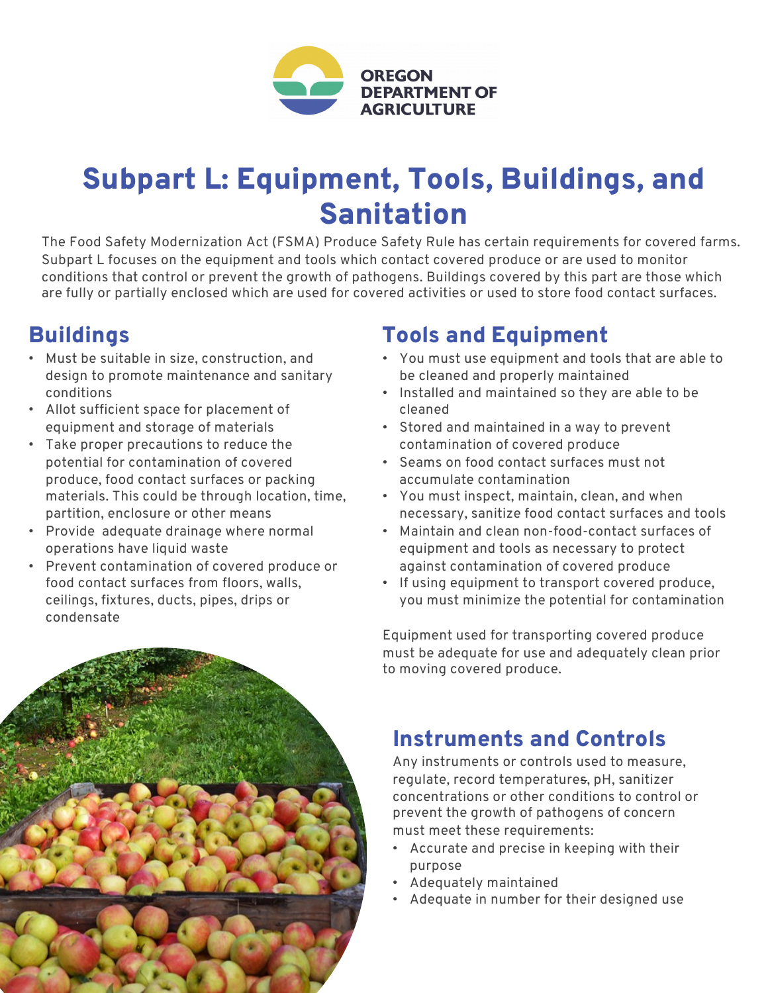

# Subpart L: Equipment, Tools, Buildings, and Sanitation

The Food Safety Modernization Act (FSMA) Produce Safety Rule has certain requirements for covered farms. Subpart L focuses on the equipment and tools which contact covered produce or are used to monitor conditions that control or prevent the growth of pathogens. Buildings covered by this part are those which are fully or partially enclosed which are used for covered activities or used to store food contact surfaces.

### **Buildings**

- Must be suitable in size, construction, and design to promote maintenance and sanitary conditions
- Allot sufficient space for placement of equipment and storage of materials
- Take proper precautions to reduce the potential for contamination of covered produce, food contact surfaces or packing materials. This could be through location, time, partition, enclosure or other means
- Provide adequate drainage where normal operations have liquid waste
- Prevent contamination of covered produce or food contact surfaces from floors, walls, ceilings, fixtures, ducts, pipes, drips or condensate

## Tools and Equipment

- You must use equipment and tools that are able to be cleaned and properly maintained
- Installed and maintained so they are able to be cleaned
- Stored and maintained in a way to prevent contamination of covered produce
- Seams on food contact surfaces must not accumulate contamination
- You must inspect, maintain, clean, and when necessary, sanitize food contact surfaces and tools
- Maintain and clean non-food-contact surfaces of equipment and tools as necessary to protect against contamination of covered produce
- If using equipment to transport covered produce, you must minimize the potential for contamination

Equipment used for transporting covered produce must be adequate for use and adequately clean prior to moving covered produce.

### Instruments and Controls

Any instruments or controls used to measure, regulate, record temperatures, pH, sanitizer concentrations or other conditions to control or prevent the growth of pathogens of concern must meet these requirements:

- Accurate and precise in keeping with their purpose
- Adequately maintained
- Adequate in number for their designed use

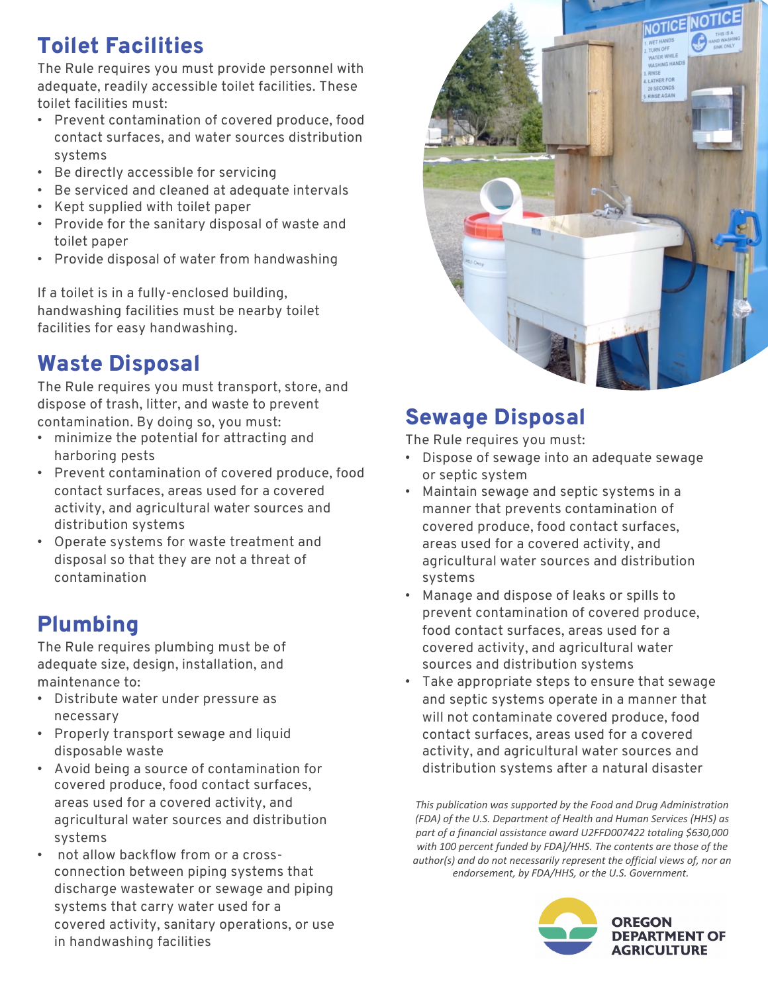## Toilet Facilities

The Rule requires you must provide personnel with adequate, readily accessible toilet facilities. These toilet facilities must:

- Prevent contamination of covered produce, food contact surfaces, and water sources distribution systems
- Be directly accessible for servicing
- Be serviced and cleaned at adequate intervals
- Kept supplied with toilet paper
- Provide for the sanitary disposal of waste and toilet paper
- Provide disposal of water from handwashing

If a toilet is in a fully-enclosed building, handwashing facilities must be nearby toilet facilities for easy handwashing.

### Waste Disposal

The Rule requires you must transport, store, and dispose of trash, litter, and waste to prevent contamination. By doing so, you must:

- minimize the potential for attracting and harboring pests
- Prevent contamination of covered produce, food contact surfaces, areas used for a covered activity, and agricultural water sources and distribution systems
- Operate systems for waste treatment and disposal so that they are not a threat of contamination

# Plumbing

The Rule requires plumbing must be of adequate size, design, installation, and maintenance to:

- Distribute water under pressure as necessary
- Properly transport sewage and liquid disposable waste
- Avoid being a source of contamination for covered produce, food contact surfaces, areas used for a covered activity, and agricultural water sources and distribution systems
- not allow backflow from or a crossconnection between piping systems that discharge wastewater or sewage and piping systems that carry water used for a covered activity, sanitary operations, or use in handwashing facilities



### Sewage Disposal

The Rule requires you must:

- Dispose of sewage into an adequate sewage or septic system
- Maintain sewage and septic systems in a manner that prevents contamination of covered produce, food contact surfaces, areas used for a covered activity, and agricultural water sources and distribution systems
- Manage and dispose of leaks or spills to prevent contamination of covered produce, food contact surfaces, areas used for a covered activity, and agricultural water sources and distribution systems
- Take appropriate steps to ensure that sewage and septic systems operate in a manner that will not contaminate covered produce, food contact surfaces, areas used for a covered activity, and agricultural water sources and distribution systems after a natural disaster

*This publication was supported by the Food and Drug Administration (FDA) of the U.S. Department of Health and Human Services (HHS) as part of a financial assistance award U2FFD007422 totaling \$630,000 with 100 percent funded by FDA]/HHS. The contents are those of the author(s) and do not necessarily represent the official views of, nor an endorsement, by FDA/HHS, or the U.S. Government.*